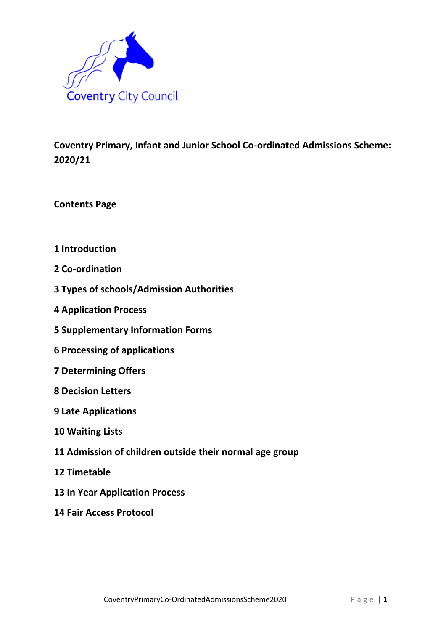

**Coventry Primary, Infant and Junior School Co-ordinated Admissions Scheme: 2020/21**

**Contents Page**

- **1 Introduction**
- **2 Co-ordination**
- **3 Types of schools/Admission Authorities**
- **4 Application Process**
- **5 Supplementary Information Forms**
- **6 Processing of applications**
- **7 Determining Offers**
- **8 Decision Letters**
- **9 Late Applications**
- **10 Waiting Lists**
- **11 Admission of children outside their normal age group**
- **12 Timetable**
- **13 In Year Application Process**
- **14 Fair Access Protocol**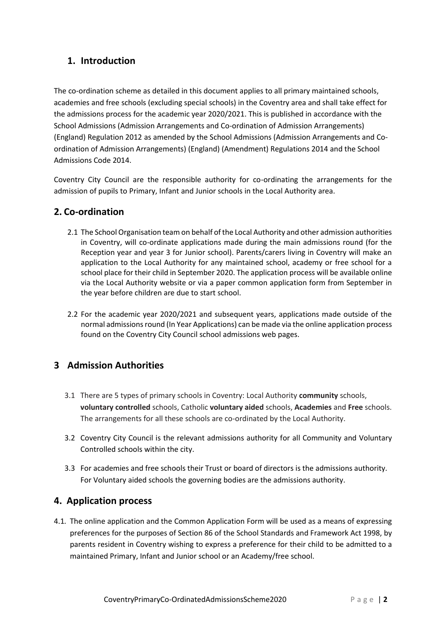## **1. Introduction**

The co-ordination scheme as detailed in this document applies to all primary maintained schools, academies and free schools (excluding special schools) in the Coventry area and shall take effect for the admissions process for the academic year 2020/2021. This is published in accordance with the School Admissions (Admission Arrangements and Co-ordination of Admission Arrangements) (England) Regulation 2012 as amended by the School Admissions (Admission Arrangements and Coordination of Admission Arrangements) (England) (Amendment) Regulations 2014 and the School Admissions Code 2014.

Coventry City Council are the responsible authority for co-ordinating the arrangements for the admission of pupils to Primary, Infant and Junior schools in the Local Authority area.

#### **2. Co-ordination**

- 2.1 The School Organisation team on behalf of the Local Authority and other admission authorities in Coventry, will co-ordinate applications made during the main admissions round (for the Reception year and year 3 for Junior school). Parents/carers living in Coventry will make an application to the Local Authority for any maintained school, academy or free school for a school place for their child in September 2020. The application process will be available online via the Local Authority website or via a paper common application form from September in the year before children are due to start school.
- 2.2 For the academic year 2020/2021 and subsequent years, applications made outside of the normal admissions round (In Year Applications) can be made via the online application process found on the Coventry City Council school admissions web pages.

## **3 Admission Authorities**

- 3.1 There are 5 types of primary schools in Coventry: Local Authority **community** schools, **voluntary controlled** schools, Catholic **voluntary aided** schools, **Academies** and **Free** schools. The arrangements for all these schools are co-ordinated by the Local Authority.
- 3.2 Coventry City Council is the relevant admissions authority for all Community and Voluntary Controlled schools within the city.
- 3.3 For academies and free schools their Trust or board of directors is the admissions authority. For Voluntary aided schools the governing bodies are the admissions authority.

## **4. Application process**

4.1*.* The online application and the Common Application Form will be used as a means of expressing preferences for the purposes of Section 86 of the School Standards and Framework Act 1998, by parents resident in Coventry wishing to express a preference for their child to be admitted to a maintained Primary, Infant and Junior school or an Academy/free school.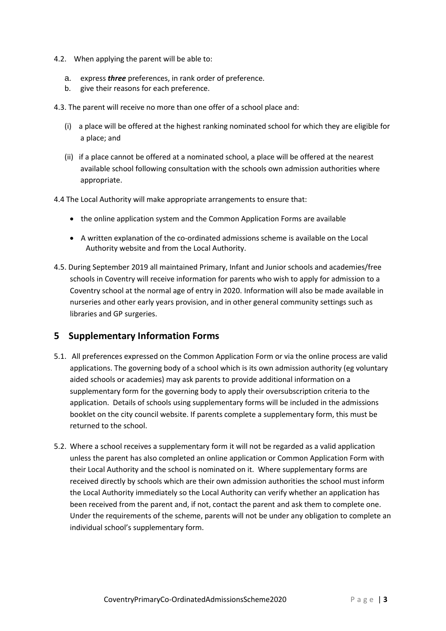- 4.2. When applying the parent will be able to:
	- a. express *three* preferences, in rank order of preference.
	- b. give their reasons for each preference.

4.3. The parent will receive no more than one offer of a school place and:

- (i) a place will be offered at the highest ranking nominated school for which they are eligible for a place; and
- (ii) if a place cannot be offered at a nominated school, a place will be offered at the nearest available school following consultation with the schools own admission authorities where appropriate.

4.4 The Local Authority will make appropriate arrangements to ensure that:

- the online application system and the Common Application Forms are available
- A written explanation of the co-ordinated admissions scheme is available on the Local Authority website and from the Local Authority.
- 4.5. During September 2019 all maintained Primary, Infant and Junior schools and academies/free schools in Coventry will receive information for parents who wish to apply for admission to a Coventry school at the normal age of entry in 2020. Information will also be made available in nurseries and other early years provision, and in other general community settings such as libraries and GP surgeries.

## **5 Supplementary Information Forms**

- 5.1. All preferences expressed on the Common Application Form or via the online process are valid applications. The governing body of a school which is its own admission authority (eg voluntary aided schools or academies) may ask parents to provide additional information on a supplementary form for the governing body to apply their oversubscription criteria to the application. Details of schools using supplementary forms will be included in the admissions booklet on the city council website. If parents complete a supplementary form, this must be returned to the school.
- 5.2. Where a school receives a supplementary form it will not be regarded as a valid application unless the parent has also completed an online application or Common Application Form with their Local Authority and the school is nominated on it. Where supplementary forms are received directly by schools which are their own admission authorities the school must inform the Local Authority immediately so the Local Authority can verify whether an application has been received from the parent and, if not, contact the parent and ask them to complete one. Under the requirements of the scheme, parents will not be under any obligation to complete an individual school's supplementary form.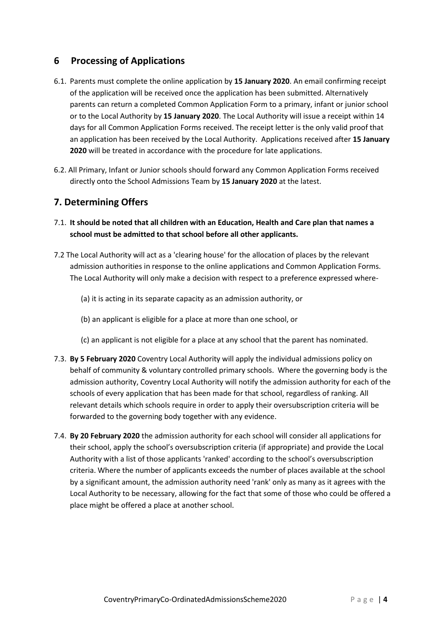## **6 Processing of Applications**

- 6.1. Parents must complete the online application by **15 January 2020**. An email confirming receipt of the application will be received once the application has been submitted. Alternatively parents can return a completed Common Application Form to a primary, infant or junior school or to the Local Authority by **15 January 2020**. The Local Authority will issue a receipt within 14 days for all Common Application Forms received. The receipt letter is the only valid proof that an application has been received by the Local Authority. Applications received after **15 January 2020** will be treated in accordance with the procedure for late applications.
- 6.2. All Primary, Infant or Junior schools should forward any Common Application Forms received directly onto the School Admissions Team by **15 January 2020** at the latest.

## **7. Determining Offers**

- 7.1. **It should be noted that all children with an Education, Health and Care plan that names a school must be admitted to that school before all other applicants.**
- 7.2 The Local Authority will act as a 'clearing house' for the allocation of places by the relevant admission authorities in response to the online applications and Common Application Forms. The Local Authority will only make a decision with respect to a preference expressed where-
	- (a) it is acting in its separate capacity as an admission authority, or
	- (b) an applicant is eligible for a place at more than one school, or
	- (c) an applicant is not eligible for a place at any school that the parent has nominated.
- 7.3. **By 5 February 2020** Coventry Local Authority will apply the individual admissions policy on behalf of community & voluntary controlled primary schools. Where the governing body is the admission authority, Coventry Local Authority will notify the admission authority for each of the schools of every application that has been made for that school, regardless of ranking. All relevant details which schools require in order to apply their oversubscription criteria will be forwarded to the governing body together with any evidence.
- 7.4. **By 20 February 2020** the admission authority for each school will consider all applications for their school, apply the school's oversubscription criteria (if appropriate) and provide the Local Authority with a list of those applicants 'ranked' according to the school's oversubscription criteria. Where the number of applicants exceeds the number of places available at the school by a significant amount, the admission authority need 'rank' only as many as it agrees with the Local Authority to be necessary, allowing for the fact that some of those who could be offered a place might be offered a place at another school.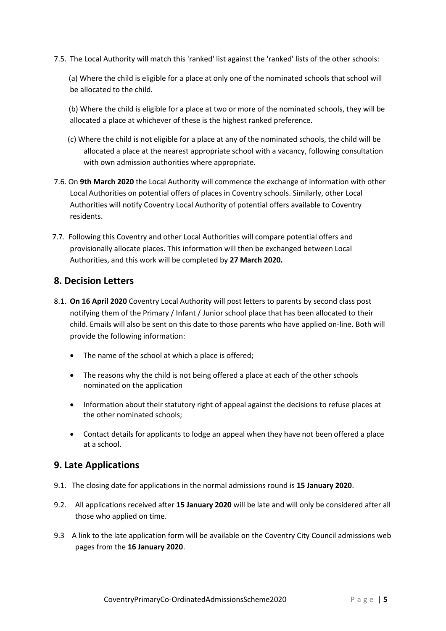7.5. The Local Authority will match this 'ranked' list against the 'ranked' lists of the other schools:

(a) Where the child is eligible for a place at only one of the nominated schools that school will be allocated to the child.

(b) Where the child is eligible for a place at two or more of the nominated schools, they will be allocated a place at whichever of these is the highest ranked preference.

- (c) Where the child is not eligible for a place at any of the nominated schools, the child will be allocated a place at the nearest appropriate school with a vacancy, following consultation with own admission authorities where appropriate.
- 7.6. On **9th March 2020** the Local Authority will commence the exchange of information with other Local Authorities on potential offers of places in Coventry schools. Similarly, other Local Authorities will notify Coventry Local Authority of potential offers available to Coventry residents.
- 7.7. Following this Coventry and other Local Authorities will compare potential offers and provisionally allocate places. This information will then be exchanged between Local Authorities, and this work will be completed by **27 March 2020.**

#### **8. Decision Letters**

- 8.1. **On 16 April 2020** Coventry Local Authority will post letters to parents by second class post notifying them of the Primary / Infant / Junior school place that has been allocated to their child. Emails will also be sent on this date to those parents who have applied on-line. Both will provide the following information:
	- The name of the school at which a place is offered;
	- The reasons why the child is not being offered a place at each of the other schools nominated on the application
	- Information about their statutory right of appeal against the decisions to refuse places at the other nominated schools;
	- Contact details for applicants to lodge an appeal when they have not been offered a place at a school.

## **9. Late Applications**

- 9.1. The closing date for applications in the normal admissions round is **15 January 2020**.
- 9.2. All applications received after **15 January 2020** will be late and will only be considered after all those who applied on time.
- 9.3 A link to the late application form will be available on the Coventry City Council admissions web pages from the **16 January 2020**.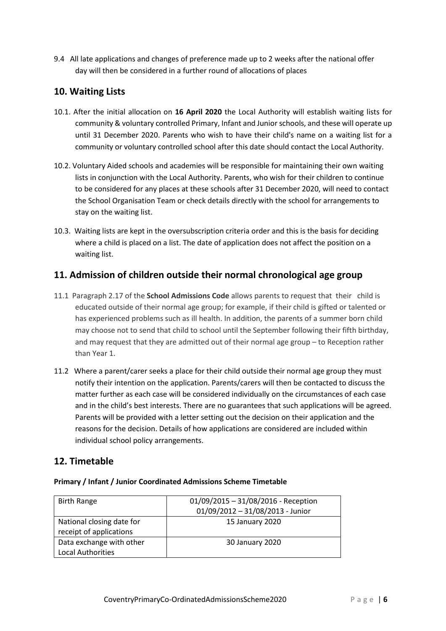9.4 All late applications and changes of preference made up to 2 weeks after the national offer day will then be considered in a further round of allocations of places

## **10. Waiting Lists**

- 10.1. After the initial allocation on **16 April 2020** the Local Authority will establish waiting lists for community & voluntary controlled Primary, Infant and Junior schools, and these will operate up until 31 December 2020. Parents who wish to have their child's name on a waiting list for a community or voluntary controlled school after this date should contact the Local Authority.
- 10.2. Voluntary Aided schools and academies will be responsible for maintaining their own waiting lists in conjunction with the Local Authority. Parents, who wish for their children to continue to be considered for any places at these schools after 31 December 2020, will need to contact the School Organisation Team or check details directly with the school for arrangements to stay on the waiting list.
- 10.3. Waiting lists are kept in the oversubscription criteria order and this is the basis for deciding where a child is placed on a list. The date of application does not affect the position on a waiting list.

## **11. Admission of children outside their normal chronological age group**

- 11.1 Paragraph 2.17 of the **School Admissions Code** allows parents to request that their child is educated outside of their normal age group; for example, if their child is gifted or talented or has experienced problems such as ill health. In addition, the parents of a summer born child may choose not to send that child to school until the September following their fifth birthday, and may request that they are admitted out of their normal age group – to Reception rather than Year 1.
- 11.2 Where a parent/carer seeks a place for their child outside their normal age group they must notify their intention on the application. Parents/carers will then be contacted to discuss the matter further as each case will be considered individually on the circumstances of each case and in the child's best interests. There are no guarantees that such applications will be agreed. Parents will be provided with a letter setting out the decision on their application and the reasons for the decision. Details of how applications are considered are included within individual school policy arrangements.

# **12. Timetable**

#### **Primary / Infant / Junior Coordinated Admissions Scheme Timetable**

| <b>Birth Range</b>                                   | 01/09/2015 - 31/08/2016 - Reception<br>01/09/2012 - 31/08/2013 - Junior |
|------------------------------------------------------|-------------------------------------------------------------------------|
| National closing date for<br>receipt of applications | 15 January 2020                                                         |
| Data exchange with other<br><b>Local Authorities</b> | 30 January 2020                                                         |